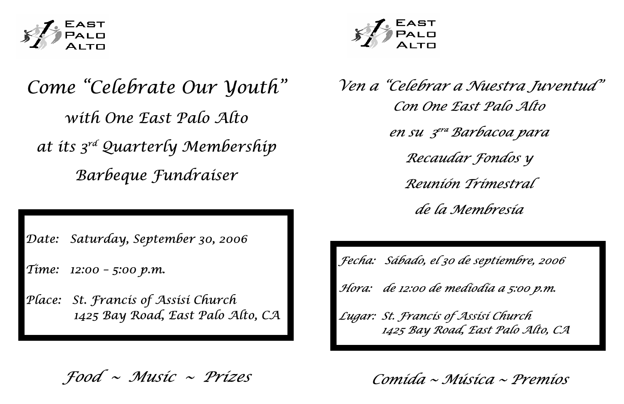

## *Come "Celebrate Our Youth" with One East Palo Alto at its 3rd Quarterly Membership Barbeque Fundraiser*

*Date: Saturday, September 30, 2006* 

*Time: 12:00 – 5:00 p.m.* 

*Place: St. Francis of Assisi Church 1425 Bay Road, East Palo Alto, CA* 



*Food ~ Music ~ Prizes* 

*Ven a "Celebrar a Nuestra Juventud" Con One East Palo Alto en su 3era Barbacoa para Recaudar Fondos y Reunión Trimestral de la Membresía* 

*Fecha: Sábado, el 30 de septiembre, 2006 Hora: de 12:00 de mediodía a 5:00 p.m. Lugar: St. Francis of Assisi Church* 

 *1425 Bay Road, East Palo Alto, CA* 

*Comida ~ Música ~ Premios*